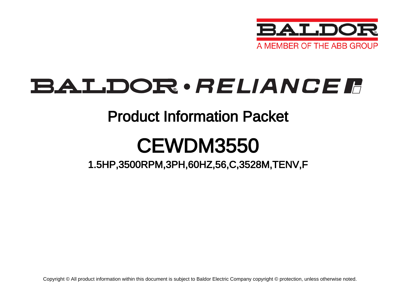

# BALDOR · RELIANCE F

### Product Information Packet

# CEWDM3550

1.5HP,3500RPM,3PH,60HZ,56,C,3528M,TENV,F

Copyright © All product information within this document is subject to Baldor Electric Company copyright © protection, unless otherwise noted.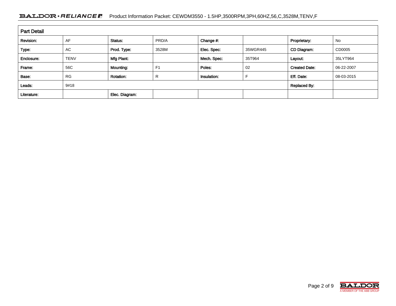#### BALDOR · RELIANCE F Product Information Packet: CEWDM3550 - 1.5HP,3500RPM,3PH,60HZ,56,C,3528M,TENV,F

| <b>Part Detail</b> |             |                  |                |             |          |                      |            |  |
|--------------------|-------------|------------------|----------------|-------------|----------|----------------------|------------|--|
| Revision:          | AF          | Status:          | PRD/A          | Change #:   |          | Proprietary:         | No         |  |
| Type:              | <b>AC</b>   | Prod. Type:      | 3528M          | Elec. Spec: | 35WGR445 | CD Diagram:          | CD0005     |  |
| Enclosure:         | <b>TENV</b> | Mfg Plant:       |                | Mech. Spec: | 35T964   | Layout:              | 35LYT964   |  |
| Frame:             | 56C         | Mounting:        | F <sub>1</sub> | Poles:      | 02       | <b>Created Date:</b> | 06-22-2007 |  |
| Base:              | <b>RG</b>   | <b>Rotation:</b> | R              | Insulation: |          | Eff. Date:           | 08-03-2015 |  |
| Leads:             | 9#18        |                  |                |             |          | <b>Replaced By:</b>  |            |  |
| Literature:        |             | Elec. Diagram:   |                |             |          |                      |            |  |

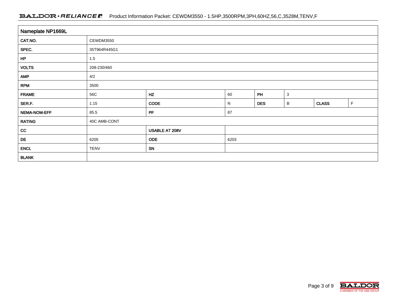#### BALDOR · RELIANCE F Product Information Packet: CEWDM3550 - 1.5HP,3500RPM,3PH,60HZ,56,C,3528M,TENV,F

| Nameplate NP1669L |              |                |      |            |              |              |   |  |  |  |
|-------------------|--------------|----------------|------|------------|--------------|--------------|---|--|--|--|
| CAT.NO.           | CEWDM3550    |                |      |            |              |              |   |  |  |  |
| SPEC.             | 35T964R445G1 |                |      |            |              |              |   |  |  |  |
| HP                | 1.5          |                |      |            |              |              |   |  |  |  |
| <b>VOLTS</b>      | 208-230/460  |                |      |            |              |              |   |  |  |  |
| <b>AMP</b>        | 4/2          |                |      |            |              |              |   |  |  |  |
| <b>RPM</b>        | 3500         |                |      |            |              |              |   |  |  |  |
| <b>FRAME</b>      | 56C          | HZ             | 60   | PH         | $\mathbf{3}$ |              |   |  |  |  |
| SER.F.            | 1.15         | <b>CODE</b>    | N    | <b>DES</b> | В            | <b>CLASS</b> | F |  |  |  |
| NEMA-NOM-EFF      | 85.5         | PF             | 87   |            |              |              |   |  |  |  |
| <b>RATING</b>     | 40C AMB-CONT |                |      |            |              |              |   |  |  |  |
| cc                |              | USABLE AT 208V |      |            |              |              |   |  |  |  |
| DE                | 6205         | ODE            | 6203 |            |              |              |   |  |  |  |
| <b>ENCL</b>       | <b>TENV</b>  | SN             |      |            |              |              |   |  |  |  |
| <b>BLANK</b>      |              |                |      |            |              |              |   |  |  |  |

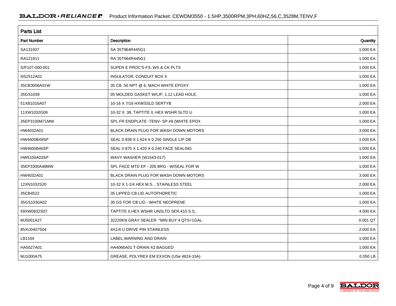| <b>Parts List</b>  |                                            |          |  |  |  |
|--------------------|--------------------------------------------|----------|--|--|--|
| <b>Part Number</b> | <b>Description</b>                         | Quantity |  |  |  |
| SA131937           | SA 35T964R445G1                            | 1.000 EA |  |  |  |
| RA121911           | RA 35T964R445G1                            | 1.000 EA |  |  |  |
| S/P107-000-001     | SUPER E PROC'S-FS, WS & CK PLTS            | 1.000 EA |  |  |  |
| NS2512A01          | INSULATOR, CONDUIT BOX X                   | 1.000 EA |  |  |  |
| 35CB3008A01W       | 35 CB .50 NPT @ 6, MACH WHITE EPOXY        | 1.000 EA |  |  |  |
| 35GS1039           | 05 MOLDED GASKET W/LIP, 1.12 LEAD HOLE,    | 1.000 EA |  |  |  |
| 51XB1016A07        | 10-16 X 7/16 HXWSSLD SERTYB                | 2.000 EA |  |  |  |
| 11XW1032G06        | 10-32 X .38, TAPTITE II, HEX WSHR SLTD U   | 1.000 EA |  |  |  |
| 35EP3100M71MW      | SPL FR ENDPLATE -TENV- SP.#9 (WHITE EPOX   | 1.000 EA |  |  |  |
| HW4032A01          | BLACK DRAIN PLUG FOR WASH DOWN MOTORS      | 3.000 EA |  |  |  |
| HW4600B49SP        | SEAL 0.938 X 1.624 X 0.250 SINGLE LIP DB   | 1.000 EA |  |  |  |
| HW4600B46SP        | SEAL 0.875 X 1.420 X 0.240 FACE SEALING    | 1.000 EA |  |  |  |
| HW5100A03SP        | WAVY WASHER (W1543-017)                    | 1.000 EA |  |  |  |
| 35EP3300A48MW      | SPL FACE MTD EP - 205 BRG - W/SEAL FOR W   | 1.000 EA |  |  |  |
| HW4032A01          | BLACK DRAIN PLUG FOR WASH DOWN MOTORS      | 3.000 EA |  |  |  |
| 12XN1032S20        | 10-32 X 1-1/4 HEX M.S., STAINLESS STEEL    | 2.000 EA |  |  |  |
| 35CB4522           | 35 LIPPED CB LID AUTOPHORETIC              | 1.000 EA |  |  |  |
| 35GS1030A02        | 35 GS FOR CB LID - WHITE NEOPRENE          | 1.000 EA |  |  |  |
| 59XW0832S07        | TAPTITE II, HEX WSHR UNSLTD SER, 410 S.S., | 4.000 EA |  |  |  |
| MJ5001A27          | 32220KN GRAY SEALER *MIN BUY 4 QTS=1GAL    | 0.001 QT |  |  |  |
| 85XU0407S04        | 4X1/4 U DRIVE PIN STAINLESS                | 2.000 EA |  |  |  |
| LB1164             | LABEL, WARNING AND DRAIN                   | 1.000 EA |  |  |  |
| HA5027A01          | HA4066A01 T-DRAIN X2 BAGGED                | 1.000 EA |  |  |  |
| MJ1000A75          | GREASE, POLYREX EM EXXON (USe 4824-15A)    | 0.050 LB |  |  |  |

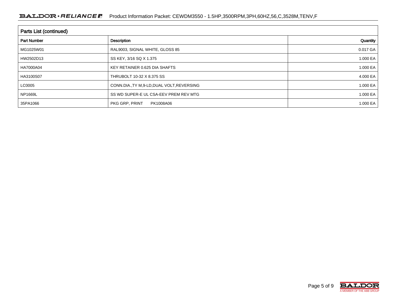#### BALDOR · RELIANCE F Product Information Packet: CEWDM3550 - 1.5HP,3500RPM,3PH,60HZ,56,C,3528M,TENV,F

| Parts List (continued) |                                             |          |  |  |  |  |
|------------------------|---------------------------------------------|----------|--|--|--|--|
| <b>Part Number</b>     | Description                                 | Quantity |  |  |  |  |
| MG1025W01              | RAL9003, SIGNAL WHITE, GLOSS 85             | 0.017 GA |  |  |  |  |
| HW2502D13              | SS KEY, 3/16 SQ X 1.375                     | 1.000 EA |  |  |  |  |
| HA7000A04              | KEY RETAINER 0.625 DIA SHAFTS               | 1.000 EA |  |  |  |  |
| HA3100S07              | THRUBOLT 10-32 X 8.375 SS                   | 4.000 EA |  |  |  |  |
| LC0005                 | CONN.DIA., TY M, 9-LD, DUAL VOLT, REVERSING | 1.000 EA |  |  |  |  |
| <b>NP1669L</b>         | SS WD SUPER-E UL CSA-EEV PREM REV MTG       | 1.000 EA |  |  |  |  |
| 35PA1066               | PKG GRP, PRINT<br>PK1008A06                 | 1.000 EA |  |  |  |  |

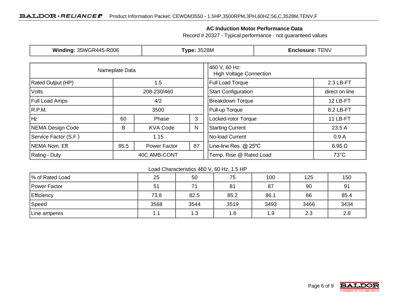### **AC Induction Motor Performance Data**

Record # 20327 - Typical performance - not guaranteed values

| <b>Winding: 35WGR445-R006</b>   |                  | <b>Type: 3528M</b> |                     |                                                 | Enclosure: TENV |                |
|---------------------------------|------------------|--------------------|---------------------|-------------------------------------------------|-----------------|----------------|
|                                 | Nameplate Data   |                    |                     | 460 V, 60 Hz:<br><b>High Voltage Connection</b> |                 |                |
| <b>Rated Output (HP)</b><br>1.5 |                  |                    | Full Load Torque    |                                                 | 2.3 LB-FT       |                |
| <b>Volts</b>                    | 208-230/460      |                    |                     | <b>Start Configuration</b>                      | direct on line  |                |
| <b>Full Load Amps</b>           |                  | 4/2                |                     | <b>Breakdown Torque</b>                         |                 | 12 LB-FT       |
| R.P.M.                          | 3500             |                    | Pull-up Torque      |                                                 | 8.2 LB-FT       |                |
| Hz                              | 3<br>60<br>Phase |                    | Locked-rotor Torque |                                                 | 11 LB-FT        |                |
| NEMA Design Code<br>B           |                  | <b>KVA Code</b>    | N                   | <b>Starting Current</b>                         |                 | 23.5 A         |
| Service Factor (S.F.)           | 1.15             |                    |                     | No-load Current                                 |                 | 0.9A           |
| NEMA Nom. Eff.                  | 85.5             | Power Factor       | 87                  | Line-line Res. @ 25°C                           |                 | $6.95 \Omega$  |
| Rating - Duty                   | 40C AMB-CONT     |                    |                     | Temp. Rise @ Rated Load                         |                 | $73^{\circ}$ C |

#### Load Characteristics 460 V, 60 Hz, 1.5 HP

| % of Rated Load   | 25   | 50   | 75   | 100  | 125  | 150  |
|-------------------|------|------|------|------|------|------|
| Power Factor      | 51   | 71   | 81   | 87   | 90   | 91   |
| <b>Efficiency</b> | 73.8 | 82.5 | 85.2 | 86.1 | 86   | 85.4 |
| Speed             | 3568 | 3544 | 3519 | 3493 | 3466 | 3434 |
| Line amperes      | 1.1  | 1.3  | 1.6  | 1.9  | 2.3  | 2.8  |

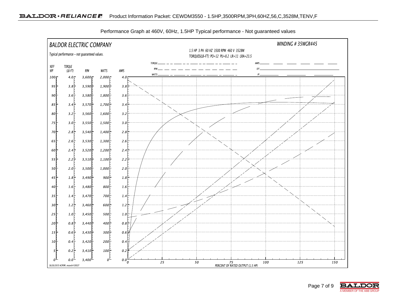

Performance Graph at 460V, 60Hz, 1.5HP Typical performance - Not guaranteed values

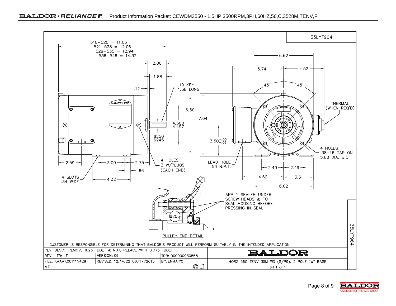